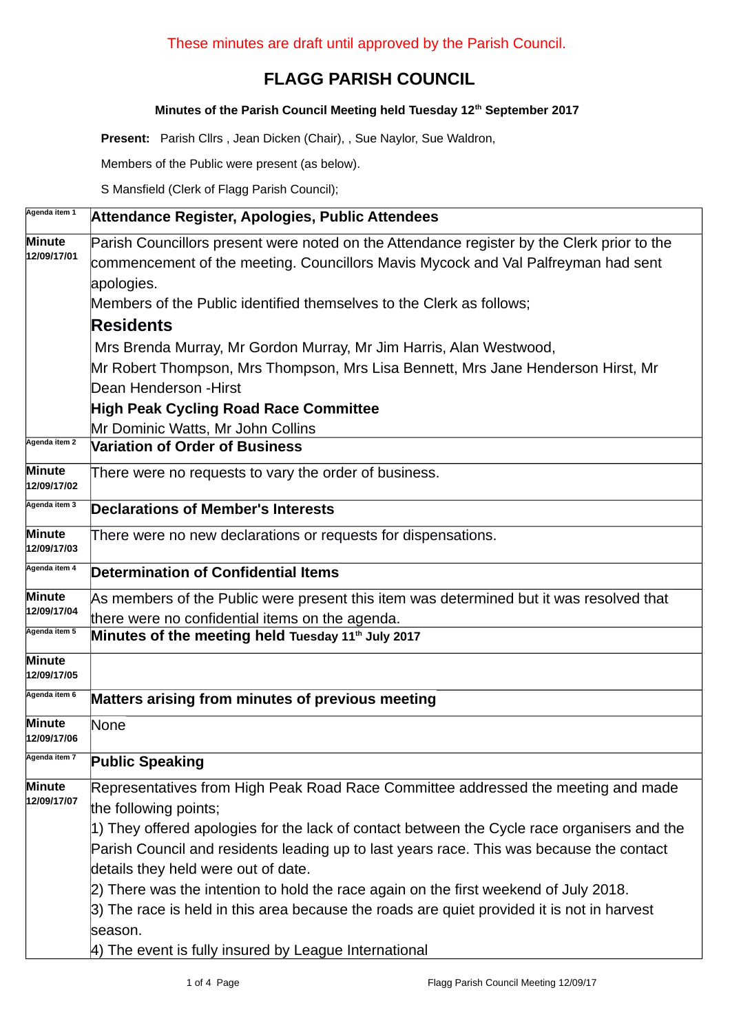# **FLAGG PARISH COUNCIL**

#### **Minutes of the Parish Council Meeting held Tuesday 12th September 2017**

**Present:** Parish Cllrs , Jean Dicken (Chair), , Sue Naylor, Sue Waldron,

Members of the Public were present (as below).

S Mansfield (Clerk of Flagg Parish Council);

| Agenda item 1                | Attendance Register, Apologies, Public Attendees                                                                                                                                |
|------------------------------|---------------------------------------------------------------------------------------------------------------------------------------------------------------------------------|
| <b>Minute</b><br>12/09/17/01 | Parish Councillors present were noted on the Attendance register by the Clerk prior to the<br>commencement of the meeting. Councillors Mavis Mycock and Val Palfreyman had sent |
|                              | apologies.<br>Members of the Public identified themselves to the Clerk as follows;                                                                                              |
|                              | <b>Residents</b>                                                                                                                                                                |
|                              | Mrs Brenda Murray, Mr Gordon Murray, Mr Jim Harris, Alan Westwood,                                                                                                              |
|                              | Mr Robert Thompson, Mrs Thompson, Mrs Lisa Bennett, Mrs Jane Henderson Hirst, Mr                                                                                                |
|                              | Dean Henderson - Hirst                                                                                                                                                          |
|                              | <b>High Peak Cycling Road Race Committee</b>                                                                                                                                    |
|                              | Mr Dominic Watts, Mr John Collins                                                                                                                                               |
| Agenda item 2                | <b>Variation of Order of Business</b>                                                                                                                                           |
| <b>Minute</b><br>12/09/17/02 | There were no requests to vary the order of business.                                                                                                                           |
| Agenda item 3                | <b>Declarations of Member's Interests</b>                                                                                                                                       |
| <b>Minute</b><br>12/09/17/03 | There were no new declarations or requests for dispensations.                                                                                                                   |
| Agenda item 4                | <b>Determination of Confidential Items</b>                                                                                                                                      |
| <b>Minute</b><br>12/09/17/04 | As members of the Public were present this item was determined but it was resolved that                                                                                         |
|                              | there were no confidential items on the agenda.                                                                                                                                 |
| Agenda item 5                | Minutes of the meeting held Tuesday 11 <sup>th</sup> July 2017                                                                                                                  |
| <b>Minute</b><br>12/09/17/05 |                                                                                                                                                                                 |
| Agenda item 6                | Matters arising from minutes of previous meeting                                                                                                                                |
| <b>Minute</b><br>12/09/17/06 | None                                                                                                                                                                            |
| Agenda item <i>r</i>         | <b>Public Speaking</b>                                                                                                                                                          |
| Minute                       | Representatives from High Peak Road Race Committee addressed the meeting and made                                                                                               |
| 12/09/17/07                  | the following points;                                                                                                                                                           |
|                              | 1) They offered apologies for the lack of contact between the Cycle race organisers and the                                                                                     |
|                              | Parish Council and residents leading up to last years race. This was because the contact                                                                                        |
|                              | details they held were out of date.                                                                                                                                             |
|                              | 2) There was the intention to hold the race again on the first weekend of July 2018.                                                                                            |
|                              | 3) The race is held in this area because the roads are quiet provided it is not in harvest                                                                                      |
|                              | season.                                                                                                                                                                         |
|                              | 4) The event is fully insured by League International                                                                                                                           |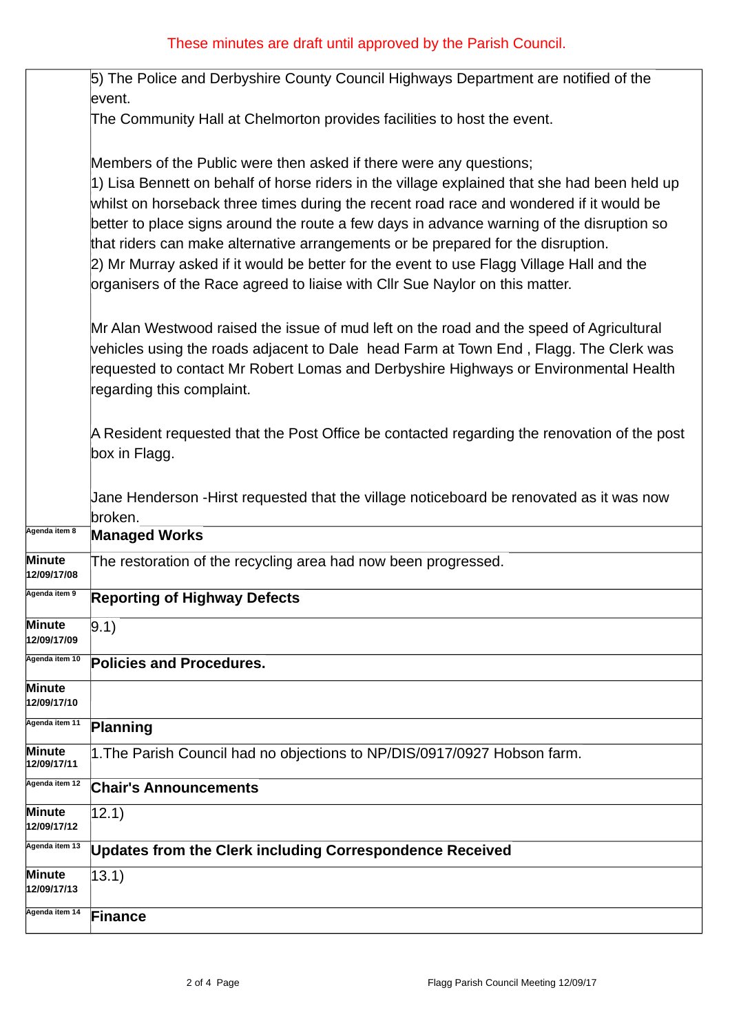|                              | 5) The Police and Derbyshire County Council Highways Department are notified of the<br>event.                                                                                                                                                                                                                                                                                                                                                                                                                                                                                                                              |
|------------------------------|----------------------------------------------------------------------------------------------------------------------------------------------------------------------------------------------------------------------------------------------------------------------------------------------------------------------------------------------------------------------------------------------------------------------------------------------------------------------------------------------------------------------------------------------------------------------------------------------------------------------------|
|                              | The Community Hall at Chelmorton provides facilities to host the event.                                                                                                                                                                                                                                                                                                                                                                                                                                                                                                                                                    |
|                              | Members of the Public were then asked if there were any questions;<br>1) Lisa Bennett on behalf of horse riders in the village explained that she had been held up<br>whilst on horseback three times during the recent road race and wondered if it would be<br>better to place signs around the route a few days in advance warning of the disruption so<br>that riders can make alternative arrangements or be prepared for the disruption.<br>2) Mr Murray asked if it would be better for the event to use Flagg Village Hall and the<br>organisers of the Race agreed to liaise with CIIr Sue Naylor on this matter. |
|                              | Mr Alan Westwood raised the issue of mud left on the road and the speed of Agricultural<br>vehicles using the roads adjacent to Dale head Farm at Town End, Flagg. The Clerk was<br>requested to contact Mr Robert Lomas and Derbyshire Highways or Environmental Health<br>regarding this complaint.                                                                                                                                                                                                                                                                                                                      |
|                              | A Resident requested that the Post Office be contacted regarding the renovation of the post<br>box in Flagg.                                                                                                                                                                                                                                                                                                                                                                                                                                                                                                               |
|                              | Jane Henderson -Hirst requested that the village noticeboard be renovated as it was now<br>broken.                                                                                                                                                                                                                                                                                                                                                                                                                                                                                                                         |
| Agenda item 8                | <b>Managed Works</b>                                                                                                                                                                                                                                                                                                                                                                                                                                                                                                                                                                                                       |
| Minute<br>12/09/17/08        | The restoration of the recycling area had now been progressed.                                                                                                                                                                                                                                                                                                                                                                                                                                                                                                                                                             |
| Agenda item 9                | <b>Reporting of Highway Defects</b>                                                                                                                                                                                                                                                                                                                                                                                                                                                                                                                                                                                        |
| Minute<br>12/09/17/09        | 9.1)                                                                                                                                                                                                                                                                                                                                                                                                                                                                                                                                                                                                                       |
| Agenda item 10               | <b>Policies and Procedures.</b>                                                                                                                                                                                                                                                                                                                                                                                                                                                                                                                                                                                            |
| Minute<br><b>12/09/17/10</b> |                                                                                                                                                                                                                                                                                                                                                                                                                                                                                                                                                                                                                            |
| Agenda item 11               | Planning                                                                                                                                                                                                                                                                                                                                                                                                                                                                                                                                                                                                                   |
| Minute<br>12/09/17/11        | 1. The Parish Council had no objections to NP/DIS/0917/0927 Hobson farm.                                                                                                                                                                                                                                                                                                                                                                                                                                                                                                                                                   |
| Agenda item 12               | <b>Chair's Announcements</b>                                                                                                                                                                                                                                                                                                                                                                                                                                                                                                                                                                                               |
| Minute<br><b>12/09/17/12</b> | 12.1)                                                                                                                                                                                                                                                                                                                                                                                                                                                                                                                                                                                                                      |
| Agenda item 13               | <b>Updates from the Clerk including Correspondence Received</b>                                                                                                                                                                                                                                                                                                                                                                                                                                                                                                                                                            |
| Minute<br><b>12/09/17/13</b> | $ 13.1\rangle$                                                                                                                                                                                                                                                                                                                                                                                                                                                                                                                                                                                                             |
| Agenda item 14               | <b>Finance</b>                                                                                                                                                                                                                                                                                                                                                                                                                                                                                                                                                                                                             |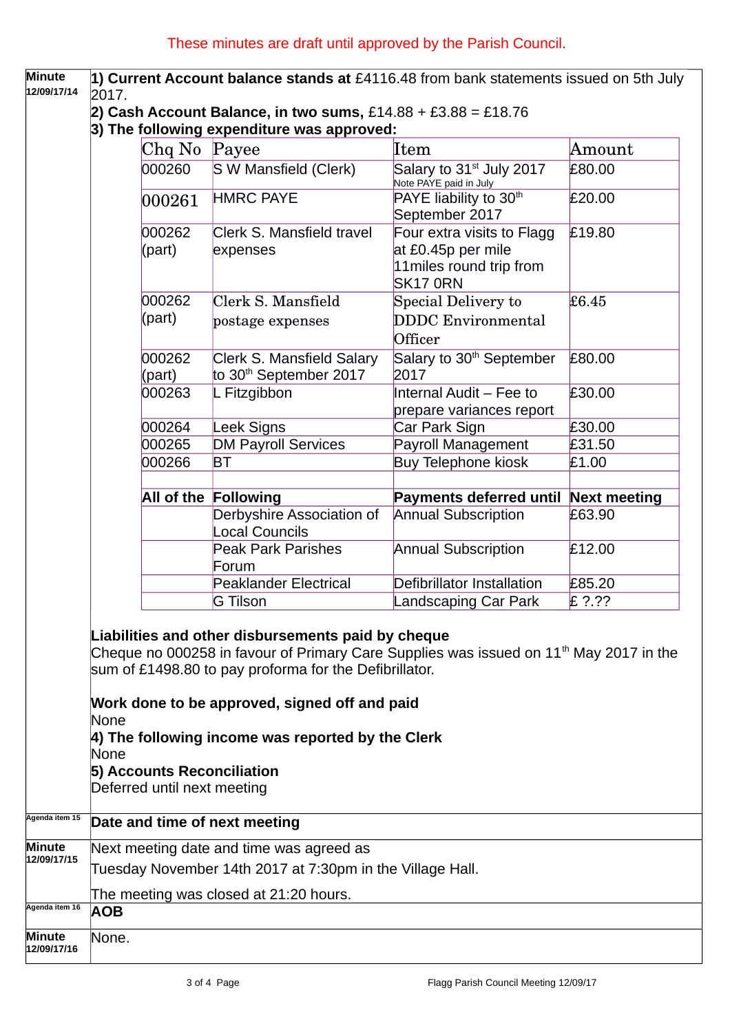**Minute 12/09/17/14 1) Current Account balance stands at** £4116.48 from bank statements issued on 5th July 2017.

- **2) Cash Account Balance, in two sums,** £14.88 + £3.88 = £18.76
- **3) The following expenditure was approved:**

|                  | Chq No Payee                                                    | Item                                                                                           | Amount              |
|------------------|-----------------------------------------------------------------|------------------------------------------------------------------------------------------------|---------------------|
| 000260           | S W Mansfield (Clerk)                                           | Salary to 31 <sup>st</sup> July 2017<br>Note PAYE paid in July                                 | £80.00              |
| 000261           | <b>HMRC PAYE</b>                                                | PAYE liability to 30 <sup>th</sup><br>September 2017                                           | £20.00              |
| 000262<br>(part) | Clerk S. Mansfield travel<br>expenses                           | Four extra visits to Flagg<br>at £0.45p per mile<br>11miles round trip from<br><b>SK17 0RN</b> | £19.80              |
| 000262<br>(part) | Clerk S. Mansfield<br>postage expenses                          | Special Delivery to<br><b>DDDC</b> Environmental<br>Officer                                    | £6.45               |
| 000262<br>(part) | Clerk S. Mansfield Salary<br>to 30 <sup>th</sup> September 2017 | Salary to 30 <sup>th</sup> September<br>2017                                                   | £80.00              |
| 000263           | L Fitzgibbon                                                    | Internal Audit - Fee to<br>prepare variances report                                            | £30.00              |
| 000264           | Leek Signs                                                      | Car Park Sign                                                                                  | £30.00              |
| 000265           | <b>DM Payroll Services</b>                                      | Payroll Management                                                                             | £31.50              |
| 000266           | <b>BT</b>                                                       | <b>Buy Telephone kiosk</b>                                                                     | £1.00               |
|                  | All of the Following                                            | <b>Payments deferred until</b>                                                                 | <b>Next meeting</b> |
|                  | Derbyshire Association of<br>Local Councils                     | <b>Annual Subscription</b>                                                                     | £63.90              |
|                  | <b>Peak Park Parishes</b><br>Forum                              | <b>Annual Subscription</b>                                                                     | £12.00              |
|                  | <b>Peaklander Electrical</b>                                    | Defibrillator Installation                                                                     | £85.20              |
|                  | G Tilson                                                        | Landscaping Car Park                                                                           | $E$ ?.??            |

None

### **4) The following income was reported by the Clerk**

None

# **5) Accounts Reconciliation**

Deferred until next meeting

# **Agenda item 15 Date and time of next meeting**

| <b>Minute</b><br>12/09/17/15 | Next meeting date and time was agreed as                  |
|------------------------------|-----------------------------------------------------------|
|                              | Tuesday November 14th 2017 at 7:30pm in the Village Hall. |
|                              | The meeting was closed at 21:20 hours.                    |
| Agenda item 16               | <b>AOB</b>                                                |
| <b>Minute</b><br>12/09/17/16 | None.                                                     |